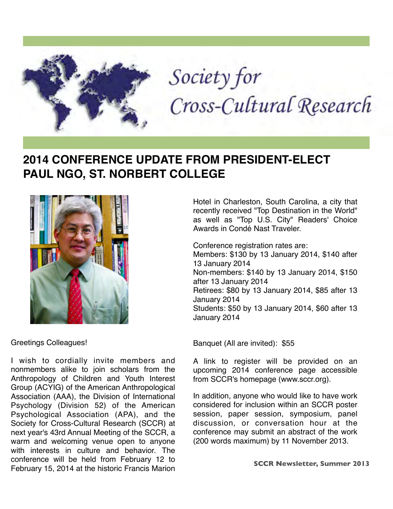

# Society for Cross-Cultural Research

# **2014 CONFERENCE UPDATE FROM PRESIDENT-ELECT PAUL NGO, ST. NORBERT COLLEGE**



Greetings Colleagues!

I wish to cordially invite members and nonmembers alike to join scholars from the Anthropology of Children and Youth Interest Group (ACYIG) of the American Anthropological Association (AAA), the Division of International Psychology (Division 52) of the American Psychological Association (APA), and the Society for Cross-Cultural Research (SCCR) at next year's 43rd Annual Meeting of the SCCR, a warm and welcoming venue open to anyone with interests in culture and behavior. The conference will be held from February 12 to February 15, 2014 at the historic Francis Marion

Hotel in Charleston, South Carolina, a city that recently received "Top Destination in the World" as well as "Top U.S. City" Readers' Choice Awards in Condé Nast Traveler.

Conference registration rates are:

Members: \$130 by 13 January 2014, \$140 after 13 January 2014 Non-members: \$140 by 13 January 2014, \$150 after 13 January 2014 Retirees: \$80 by 13 January 2014, \$85 after 13 January 2014 Students: \$50 by 13 January 2014, \$60 after 13 January 2014

Banquet (All are invited): \$55

A link to register will be provided on an upcoming 2014 conference page accessible from SCCR's homepage ([www.sccr.org\)](https://webmail.indstate.edu/owa/redir.aspx?C=4-EwoRwX4EqJ60pF7h2bBQdsfrPvUtBIvPENXz6J5UF_5s6PGJuX_dCBBGtUX_4GCJJ0vbrbxvw.&URL=http%3a%2f%2fwww.sccr.org).

In addition, anyone who would like to have work considered for inclusion within an SCCR poster session, paper session, symposium, panel discussion, or conversation hour at the conference may submit an abstract of the work (200 words maximum) by 11 November 2013.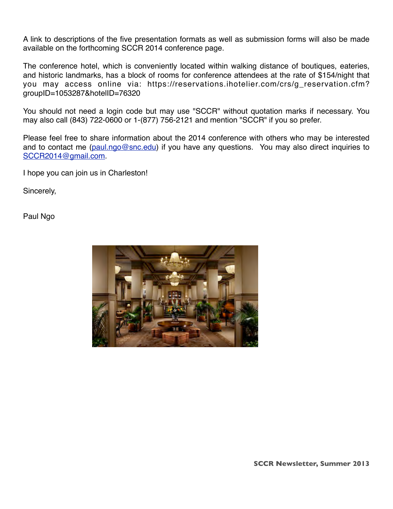A link to descriptions of the five presentation formats as well as submission forms will also be made available on the forthcoming SCCR 2014 conference page.

The conference hotel, which is conveniently located within walking distance of boutiques, eateries, and historic landmarks, has a block of rooms for conference attendees at the rate of \$154/night that you may access online via[: https://reservations.ihotelier.com/crs/g\\_reservation.cfm?](https://webmail.indstate.edu/owa/redir.aspx?C=4-EwoRwX4EqJ60pF7h2bBQdsfrPvUtBIvPENXz6J5UF_5s6PGJuX_dCBBGtUX_4GCJJ0vbrbxvw.&URL=https%3a%2f%2freservations.ihotelier.com%2fcrs%2fg_reservation.cfm%3fgroupID%3d1053287%26hotelID%3d76320) [groupID=1053287&hotelID=76320](https://webmail.indstate.edu/owa/redir.aspx?C=4-EwoRwX4EqJ60pF7h2bBQdsfrPvUtBIvPENXz6J5UF_5s6PGJuX_dCBBGtUX_4GCJJ0vbrbxvw.&URL=https%3a%2f%2freservations.ihotelier.com%2fcrs%2fg_reservation.cfm%3fgroupID%3d1053287%26hotelID%3d76320)

You should not need a login code but may use "SCCR" without quotation marks if necessary. You may also call (843) 722-0600 or 1-(877) 756-2121 and mention "SCCR" if you so prefer.

Please feel free to share information about the 2014 conference with others who may be interested and to contact me [\(paul.ngo@snc.edu\)](mailto:paul.ngo@snc.edu) if you have any questions. You may also direct inquiries to [SCCR2014@gmail.com.](mailto:SCCR2014@gmail.com)

I hope you can join us in Charleston!

Sincerely,

Paul Ngo



**SCCR Newsletter, Summer 2013**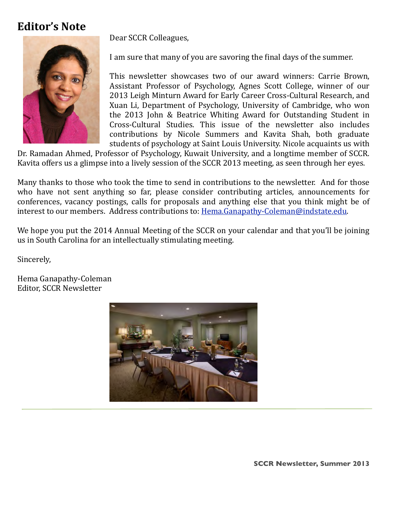# **Editor's Note**

Dear SCCR Colleagues,



I am sure that many of you are savoring the final days of the summer.

This newsletter showcases two of our award winners: Carrie Brown, Assistant Professor of Psychology, Agnes Scott College, winner of our 2013 Leigh Minturn Award for Early Career Cross-Cultural Research, and Xuan Li, Department of Psychology, University of Cambridge, who won the 2013 John & Beatrice Whiting Award for Outstanding Student in Cross-Cultural Studies. This issue of the newsletter also includes contributions by Nicole Summers and Kavita Shah, both graduate students of psychology at Saint Louis University. Nicole acquaints us with

Dr. Ramadan Ahmed, Professor of Psychology, Kuwait University, and a longtime member of SCCR. Kavita offers us a glimpse into a lively session of the SCCR 2013 meeting, as seen through her eyes.

Many thanks to those who took the time to send in contributions to the newsletter. And for those who have not sent anything so far, please consider contributing articles, announcements for conferences, vacancy postings, calls for proposals and anything else that you think might be of interest to our members. Address contributions to: Hema.Ganapathy-Coleman@indstate.edu.

We hope you put the 2014 Annual Meeting of the SCCR on your calendar and that you'll be joining us in South Carolina for an intellectually stimulating meeting.

Sincerely,

<u> | 2000 | 2000 | 2000 | 2000 | 2000 | 2000 | 2000 | 2000 | 2000 | 2000 | 2000 | 2000 | 2000 | 2000 | 2000 | 20</u>

Hema Ganapathy-Coleman Editor, SCCR Newsletter



**SCCR Newsletter, Summer 2013**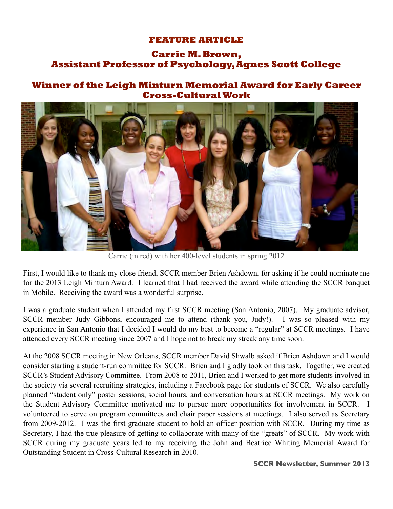## **FEATURE ARTICLE**

## **Carrie M. Brown, Assistant Professor of Psychology, Agnes Scott College**

## **Winner of the Leigh Minturn Memorial Award for Early Career Cross-Cultural Work**



Carrie (in red) with her 400-level students in spring 2012

First, I would like to thank my close friend, SCCR member Brien Ashdown, for asking if he could nominate me for the 2013 Leigh Minturn Award. I learned that I had received the award while attending the SCCR banquet in Mobile. Receiving the award was a wonderful surprise.

I was a graduate student when I attended my first SCCR meeting (San Antonio, 2007). My graduate advisor, SCCR member Judy Gibbons, encouraged me to attend (thank you, Judy!). I was so pleased with my experience in San Antonio that I decided I would do my best to become a "regular" at SCCR meetings. I have attended every SCCR meeting since 2007 and I hope not to break my streak any time soon.

At the 2008 SCCR meeting in New Orleans, SCCR member David Shwalb asked if Brien Ashdown and I would consider starting a student-run committee for SCCR. Brien and I gladly took on this task. Together, we created SCCR's Student Advisory Committee. From 2008 to 2011, Brien and I worked to get more students involved in the society via several recruiting strategies, including a Facebook page for students of SCCR. We also carefully planned "student only" poster sessions, social hours, and conversation hours at SCCR meetings. My work on the Student Advisory Committee motivated me to pursue more opportunities for involvement in SCCR. I volunteered to serve on program committees and chair paper sessions at meetings. I also served as Secretary from 2009-2012. I was the first graduate student to hold an officer position with SCCR. During my time as Secretary, I had the true pleasure of getting to collaborate with many of the "greats" of SCCR. My work with SCCR during my graduate years led to my receiving the John and Beatrice Whiting Memorial Award for Outstanding Student in Cross-Cultural Research in 2010.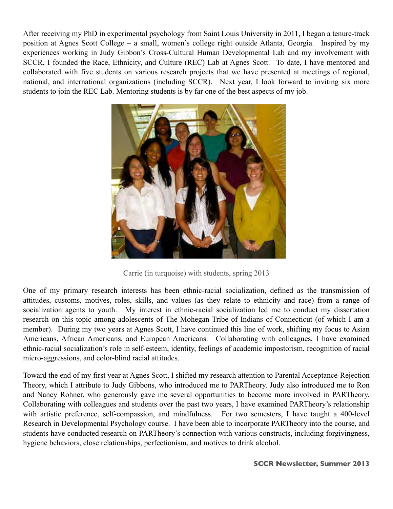After receiving my PhD in experimental psychology from Saint Louis University in 2011, I began a tenure-track position at Agnes Scott College – a small, women's college right outside Atlanta, Georgia. Inspired by my experiences working in Judy Gibbon's Cross-Cultural Human Developmental Lab and my involvement with SCCR, I founded the Race, Ethnicity, and Culture (REC) Lab at Agnes Scott. To date, I have mentored and collaborated with five students on various research projects that we have presented at meetings of regional, national, and international organizations (including SCCR). Next year, I look forward to inviting six more students to join the REC Lab. Mentoring students is by far one of the best aspects of my job.



Carrie (in turquoise) with students, spring 2013

One of my primary research interests has been ethnic-racial socialization, defined as the transmission of attitudes, customs, motives, roles, skills, and values (as they relate to ethnicity and race) from a range of socialization agents to youth. My interest in ethnic-racial socialization led me to conduct my dissertation research on this topic among adolescents of The Mohegan Tribe of Indians of Connecticut (of which I am a member). During my two years at Agnes Scott, I have continued this line of work, shifting my focus to Asian Americans, African Americans, and European Americans. Collaborating with colleagues, I have examined ethnic-racial socialization's role in self-esteem, identity, feelings of academic impostorism, recognition of racial micro-aggressions, and color-blind racial attitudes.

Toward the end of my first year at Agnes Scott, I shifted my research attention to Parental Acceptance-Rejection Theory, which I attribute to Judy Gibbons, who introduced me to PARTheory. Judy also introduced me to Ron and Nancy Rohner, who generously gave me several opportunities to become more involved in PARTheory. Collaborating with colleagues and students over the past two years, I have examined PARTheory's relationship with artistic preference, self-compassion, and mindfulness. For two semesters, I have taught a 400-level Research in Developmental Psychology course. I have been able to incorporate PARTheory into the course, and students have conducted research on PARTheory's connection with various constructs, including forgivingness, hygiene behaviors, close relationships, perfectionism, and motives to drink alcohol.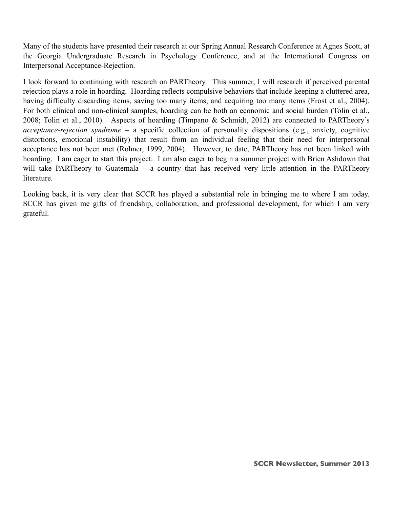Many of the students have presented their research at our Spring Annual Research Conference at Agnes Scott, at the Georgia Undergraduate Research in Psychology Conference, and at the International Congress on Interpersonal Acceptance-Rejection.

I look forward to continuing with research on PARTheory. This summer, I will research if perceived parental rejection plays a role in hoarding. Hoarding reflects compulsive behaviors that include keeping a cluttered area, having difficulty discarding items, saving too many items, and acquiring too many items (Frost et al., 2004). For both clinical and non-clinical samples, hoarding can be both an economic and social burden (Tolin et al., 2008; Tolin et al., 2010). Aspects of hoarding (Timpano & Schmidt, 2012) are connected to PARTheory's *acceptance-rejection syndrome* – a specific collection of personality dispositions (e.g., anxiety, cognitive distortions, emotional instability) that result from an individual feeling that their need for interpersonal acceptance has not been met (Rohner, 1999, 2004). However, to date, PARTheory has not been linked with hoarding. I am eager to start this project. I am also eager to begin a summer project with Brien Ashdown that will take PARTheory to Guatemala – a country that has received very little attention in the PARTheory literature.

Looking back, it is very clear that SCCR has played a substantial role in bringing me to where I am today. SCCR has given me gifts of friendship, collaboration, and professional development, for which I am very grateful.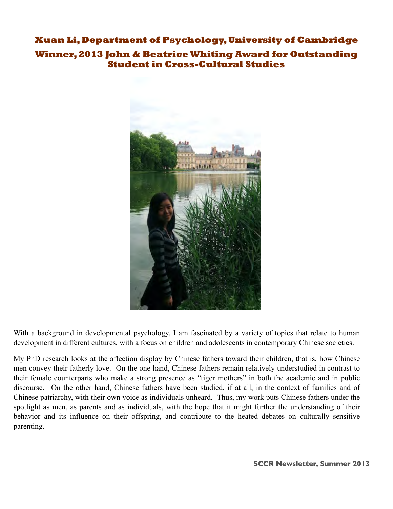## **Xuan Li, Department of Psychology, University of Cambridge**

## **Winner, 2013 John & Beatrice Whiting Award for Outstanding Student in Cross-Cultural Studies**



With a background in developmental psychology, I am fascinated by a variety of topics that relate to human development in different cultures, with a focus on children and adolescents in contemporary Chinese societies.

My PhD research looks at the affection display by Chinese fathers toward their children, that is, how Chinese men convey their fatherly love. On the one hand, Chinese fathers remain relatively understudied in contrast to their female counterparts who make a strong presence as "tiger mothers" in both the academic and in public discourse. On the other hand, Chinese fathers have been studied, if at all, in the context of families and of Chinese patriarchy, with their own voice as individuals unheard. Thus, my work puts Chinese fathers under the spotlight as men, as parents and as individuals, with the hope that it might further the understanding of their behavior and its influence on their offspring, and contribute to the heated debates on culturally sensitive parenting.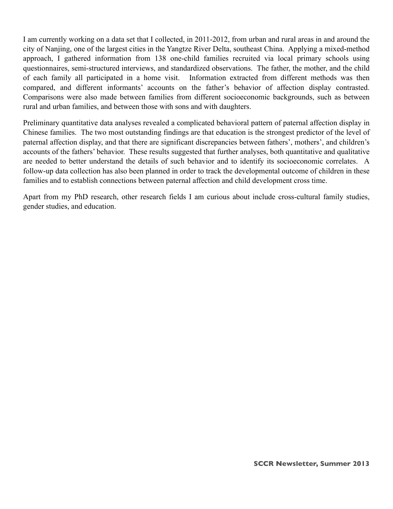I am currently working on a data set that I collected, in 2011-2012, from urban and rural areas in and around the city of Nanjing, one of the largest cities in the Yangtze River Delta, southeast China. Applying a mixed-method approach, I gathered information from 138 one-child families recruited via local primary schools using questionnaires, semi-structured interviews, and standardized observations. The father, the mother, and the child of each family all participated in a home visit. Information extracted from different methods was then compared, and different informants' accounts on the father's behavior of affection display contrasted. Comparisons were also made between families from different socioeconomic backgrounds, such as between rural and urban families, and between those with sons and with daughters.

Preliminary quantitative data analyses revealed a complicated behavioral pattern of paternal affection display in Chinese families. The two most outstanding findings are that education is the strongest predictor of the level of paternal affection display, and that there are significant discrepancies between fathers', mothers', and children's accounts of the fathers' behavior. These results suggested that further analyses, both quantitative and qualitative are needed to better understand the details of such behavior and to identify its socioeconomic correlates. A follow-up data collection has also been planned in order to track the developmental outcome of children in these families and to establish connections between paternal affection and child development cross time.

Apart from my PhD research, other research fields I am curious about include cross-cultural family studies, gender studies, and education.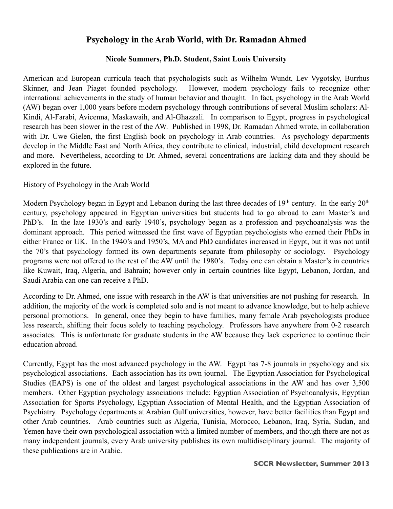## **Psychology in the Arab World, with Dr. Ramadan Ahmed**

## **Nicole Summers, Ph.D. Student, Saint Louis University**

American and European curricula teach that psychologists such as Wilhelm Wundt, Lev Vygotsky, Burrhus Skinner, and Jean Piaget founded psychology. However, modern psychology fails to recognize other international achievements in the study of human behavior and thought. In fact, psychology in the Arab World (AW) began over 1,000 years before modern psychology through contributions of several Muslim scholars: Al-Kindi, Al-Farabi, Avicenna, Maskawaih, and Al-Ghazzali. In comparison to Egypt, progress in psychological research has been slower in the rest of the AW. Published in 1998, Dr. Ramadan Ahmed wrote, in collaboration with Dr. Uwe Gielen, the first English book on psychology in Arab countries. As psychology departments develop in the Middle East and North Africa, they contribute to clinical, industrial, child development research and more. Nevertheless, according to Dr. Ahmed, several concentrations are lacking data and they should be explored in the future.

## History of Psychology in the Arab World

Modern Psychology began in Egypt and Lebanon during the last three decades of 19<sup>th</sup> century. In the early 20<sup>th</sup> century, psychology appeared in Egyptian universities but students had to go abroad to earn Master's and PhD's. In the late 1930's and early 1940's, psychology began as a profession and psychoanalysis was the dominant approach. This period witnessed the first wave of Egyptian psychologists who earned their PhDs in either France or UK. In the 1940's and 1950's, MA and PhD candidates increased in Egypt, but it was not until the 70's that psychology formed its own departments separate from philosophy or sociology. Psychology programs were not offered to the rest of the AW until the 1980's. Today one can obtain a Master's in countries like Kuwait, Iraq, Algeria, and Bahrain; however only in certain countries like Egypt, Lebanon, Jordan, and Saudi Arabia can one can receive a PhD.

According to Dr. Ahmed, one issue with research in the AW is that universities are not pushing for research. In addition, the majority of the work is completed solo and is not meant to advance knowledge, but to help achieve personal promotions. In general, once they begin to have families, many female Arab psychologists produce less research, shifting their focus solely to teaching psychology. Professors have anywhere from 0-2 research associates. This is unfortunate for graduate students in the AW because they lack experience to continue their education abroad.

Currently, Egypt has the most advanced psychology in the AW. Egypt has 7-8 journals in psychology and six psychological associations. Each association has its own journal. The Egyptian Association for Psychological Studies (EAPS) is one of the oldest and largest psychological associations in the AW and has over 3,500 members. Other Egyptian psychology associations include: Egyptian Association of Psychoanalysis, Egyptian Association for Sports Psychology, Egyptian Association of Mental Health, and the Egyptian Association of Psychiatry. Psychology departments at Arabian Gulf universities, however, have better facilities than Egypt and other Arab countries. Arab countries such as Algeria, Tunisia, Morocco, Lebanon, Iraq, Syria, Sudan, and Yemen have their own psychological association with a limited number of members, and though there are not as many independent journals, every Arab university publishes its own multidisciplinary journal. The majority of these publications are in Arabic.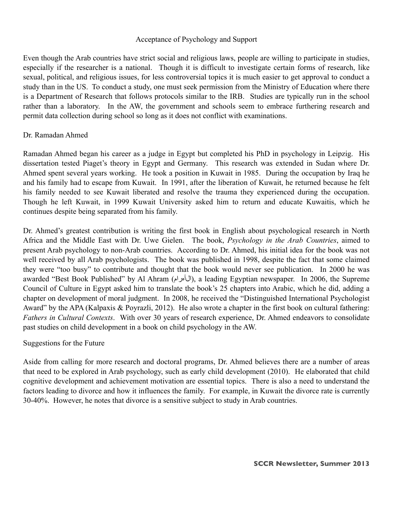## Acceptance of Psychology and Support

Even though the Arab countries have strict social and religious laws, people are willing to participate in studies, especially if the researcher is a national. Though it is difficult to investigate certain forms of research, like sexual, political, and religious issues, for less controversial topics it is much easier to get approval to conduct a study than in the US. To conduct a study, one must seek permission from the Ministry of Education where there is a Department of Research that follows protocols similar to the IRB. Studies are typically run in the school rather than a laboratory. In the AW, the government and schools seem to embrace furthering research and permit data collection during school so long as it does not conflict with examinations.

## Dr. Ramadan Ahmed

Ramadan Ahmed began his career as a judge in Egypt but completed his PhD in psychology in Leipzig. His dissertation tested Piaget's theory in Egypt and Germany. This research was extended in Sudan where Dr. Ahmed spent several years working. He took a position in Kuwait in 1985. During the occupation by Iraq he and his family had to escape from Kuwait. In 1991, after the liberation of Kuwait, he returned because he felt his family needed to see Kuwait liberated and resolve the trauma they experienced during the occupation. Though he left Kuwait, in 1999 Kuwait University asked him to return and educate Kuwaitis, which he continues despite being separated from his family.

Dr. Ahmed's greatest contribution is writing the first book in English about psychological research in North Africa and the Middle East with Dr. Uwe Gielen. The book, *Psychology in the Arab Countries*, aimed to present Arab psychology to non-Arab countries. According to Dr. Ahmed, his initial idea for the book was not well received by all Arab psychologists. The book was published in 1998, despite the fact that some claimed they were "too busy" to contribute and thought that the book would never see publication. In 2000 he was awarded "Best Book Published" by Al Ahram (الىأمرام), a leading Egyptian newspaper. In 2006, the Supreme Council of Culture in Egypt asked him to translate the book's 25 chapters into Arabic, which he did, adding a chapter on development of moral judgment. In 2008, he received the "Distinguished International Psychologist Award" by the APA (Kalpaxis & Poyrazli, 2012). He also wrote a chapter in the first book on cultural fathering: *Fathers in Cultural Contexts*. With over 30 years of research experience, Dr. Ahmed endeavors to consolidate past studies on child development in a book on child psychology in the AW.

## Suggestions for the Future

Aside from calling for more research and doctoral programs, Dr. Ahmed believes there are a number of areas that need to be explored in Arab psychology, such as early child development (2010). He elaborated that child cognitive development and achievement motivation are essential topics. There is also a need to understand the factors leading to divorce and how it influences the family. For example, in Kuwait the divorce rate is currently 30-40%. However, he notes that divorce is a sensitive subject to study in Arab countries.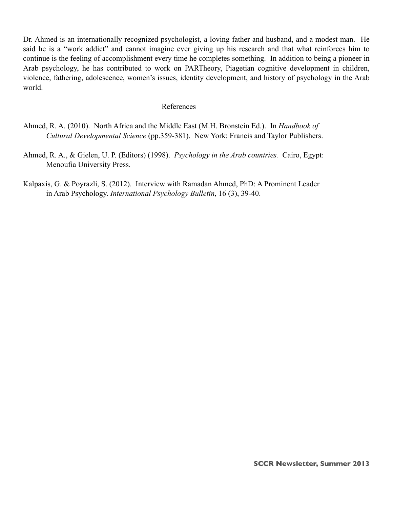Dr. Ahmed is an internationally recognized psychologist, a loving father and husband, and a modest man. He said he is a "work addict" and cannot imagine ever giving up his research and that what reinforces him to continue is the feeling of accomplishment every time he completes something. In addition to being a pioneer in Arab psychology, he has contributed to work on PARTheory, Piagetian cognitive development in children, violence, fathering, adolescence, women's issues, identity development, and history of psychology in the Arab world.

#### References

- Ahmed, R. A. (2010). North Africa and the Middle East (M.H. Bronstein Ed.). In *Handbook of Cultural Developmental Science* (pp.359-381). New York: Francis and Taylor Publishers.
- Ahmed, R. A., & Gielen, U. P. (Editors) (1998). *Psychology in the Arab countries.* Cairo, Egypt: Menoufia University Press.
- Kalpaxis, G. & Poyrazli, S. (2012). Interview with Ramadan Ahmed, PhD: A Prominent Leader in Arab Psychology. *International Psychology Bulletin*, 16 (3), 39-40.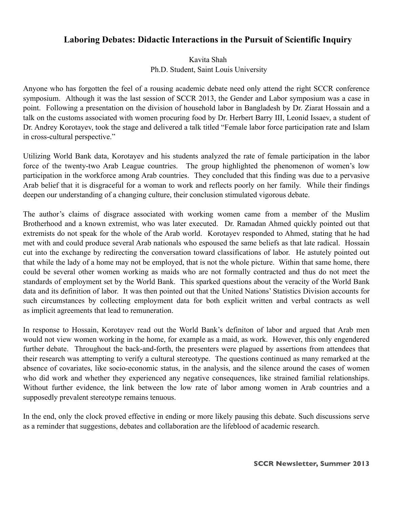## **Laboring Debates: Didactic Interactions in the Pursuit of Scientific Inquiry**

Kavita Shah Ph.D. Student, Saint Louis University

Anyone who has forgotten the feel of a rousing academic debate need only attend the right SCCR conference symposium. Although it was the last session of SCCR 2013, the Gender and Labor symposium was a case in point. Following a presentation on the division of household labor in Bangladesh by Dr. Ziarat Hossain and a talk on the customs associated with women procuring food by Dr. Herbert Barry III, Leonid Issaev, a student of Dr. Andrey Korotayev, took the stage and delivered a talk titled "Female labor force participation rate and Islam in cross-cultural perspective."

Utilizing World Bank data, Korotayev and his students analyzed the rate of female participation in the labor force of the twenty-two Arab League countries. The group highlighted the phenomenon of women's low participation in the workforce among Arab countries. They concluded that this finding was due to a pervasive Arab belief that it is disgraceful for a woman to work and reflects poorly on her family. While their findings deepen our understanding of a changing culture, their conclusion stimulated vigorous debate.

The author's claims of disgrace associated with working women came from a member of the Muslim Brotherhood and a known extremist, who was later executed. Dr. Ramadan Ahmed quickly pointed out that extremists do not speak for the whole of the Arab world. Korotayev responded to Ahmed, stating that he had met with and could produce several Arab nationals who espoused the same beliefs as that late radical. Hossain cut into the exchange by redirecting the conversation toward classifications of labor. He astutely pointed out that while the lady of a home may not be employed, that is not the whole picture. Within that same home, there could be several other women working as maids who are not formally contracted and thus do not meet the standards of employment set by the World Bank. This sparked questions about the veracity of the World Bank data and its definition of labor. It was then pointed out that the United Nations' Statistics Division accounts for such circumstances by collecting employment data for both explicit written and verbal contracts as well as implicit agreements that lead to remuneration.

In response to Hossain, Korotayev read out the World Bank's definiton of labor and argued that Arab men would not view women working in the home, for example as a maid, as work. However, this only engendered further debate. Throughout the back-and-forth, the presenters were plagued by assertions from attendees that their research was attempting to verify a cultural stereotype. The questions continued as many remarked at the absence of covariates, like socio-economic status, in the analysis, and the silence around the cases of women who did work and whether they experienced any negative consequences, like strained familial relationships. Without further evidence, the link between the low rate of labor among women in Arab countries and a supposedly prevalent stereotype remains tenuous.

In the end, only the clock proved effective in ending or more likely pausing this debate. Such discussions serve as a reminder that suggestions, debates and collaboration are the lifeblood of academic research.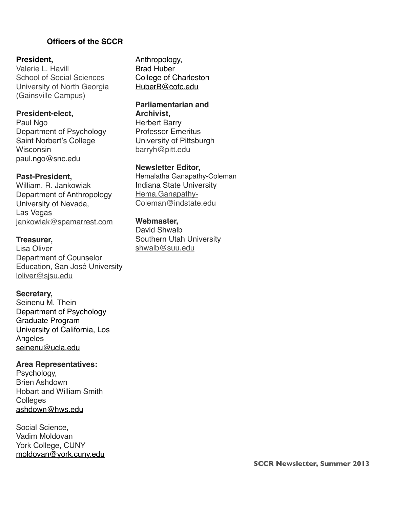## **))))))))))))))))))Officers of the SCCR**

## **President,**

Valerie L. Havill School of Social Sciences University of North Georgia (Gainsville Campus)

## **President-elect,**

Paul Ngo Department of Psychology Saint Norbert's College **Wisconsin** paul.ngo@snc.edu

## **Past-President,**

William. R. Jankowiak Department of Anthropology University of Nevada, Las Vegas [jankowiak@spamarrest.com](mailto:jankowiak@spamarrest.com)

## **Treasurer,**

Lisa Oliver Department of Counselor Education, San José University [loliver@sjsu.edu](mailto:loliver@sjsu.edu)

#### **Secretary,**

Seinenu M. Thein Department of Psychology Graduate Program University of California, Los Angeles [seinenu@ucla.edu](mailto:seinenu@ucla.edu)

## **Area Representatives:**

Psychology, Brien Ashdown Hobart and William Smith **Colleges** [ashdown@hws.edu](mailto:ashdown@hws.edu)

Social Science, Vadim Moldovan York College, CUNY [moldovan@york.cuny.edu](mailto:moldovan@york.cuny.edu) Anthropology, Brad Huber College of Charleston HuberB@cofc.edu

#### **Parliamentarian and Archivist,**

Herbert Barry Professor Emeritus University of Pittsburgh [barryh@pitt.edu](mailto:barryh@pitt.edu)

#### **Newsletter Editor,**

Hemalatha Ganapathy-Coleman Indiana State University [Hema.Ganapathy-](mailto:Hema.Ganapathy-Coleman@indstate.edu)[Coleman@indstate.edu](mailto:Hema.Ganapathy-Coleman@indstate.edu)

#### **Webmaster,**

David Shwalb Southern Utah University [shwalb@suu.edu](mailto:shwalb@suu.edu)